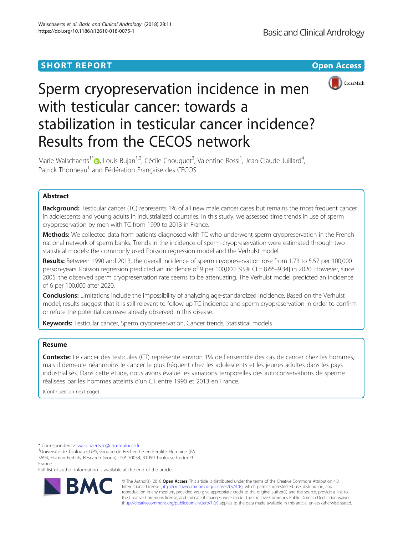# **SHORT REPORT CONTRACT CONTRACT CONTRACT CONTRACT CONTRACT CONTRACT CONTRACT CONTRACT CONTRACT CONTRACT CONTRACT CONTRACT CONTRACT CONTRACT CONTRACT CONTRACT CONTRACT CONTRACT CONTRACT CONTRACT CONTRACT CONTRACT CONTRACT C**



# Sperm cryopreservation incidence in men with testicular cancer: towards a stabilization in testicular cancer incidence? Results from the CECOS network

Marie Walschaerts<sup>1\*</sup> (D), Louis Bujan<sup>1,2</sup>, Cécile Chouquet<sup>3</sup>, Valentine Rossi<sup>1</sup>, Jean-Claude Juillard<sup>4</sup> , Patrick Thonneau<sup>1</sup> and Fédération Française des CECOS

# Abstract

**Background:** Testicular cancer (TC) represents 1% of all new male cancer cases but remains the most frequent cancer in adolescents and young adults in industrialized countries. In this study, we assessed time trends in use of sperm cryopreservation by men with TC from 1990 to 2013 in France.

Methods: We collected data from patients diagnosed with TC who underwent sperm cryopreservation in the French national network of sperm banks. Trends in the incidence of sperm cryopreservation were estimated through two statistical models: the commonly used Poisson regression model and the Verhulst model.

Results: Between 1990 and 2013, the overall incidence of sperm cryopreservation rose from 1.73 to 5.57 per 100,000 person-years. Poisson regression predicted an incidence of 9 per 100,000 [95% CI = 8.66–9.34] in 2020. However, since 2005, the observed sperm cryopreservation rate seems to be attenuating. The Verhulst model predicted an incidence of 6 per 100,000 after 2020.

**Conclusions:** Limitations include the impossibility of analyzing age-standardized incidence. Based on the Verhulst model, results suggest that it is still relevant to follow up TC incidence and sperm cryopreservation in order to confirm or refute the potential decrease already observed in this disease.

Keywords: Testicular cancer, Sperm cryopreservation, Cancer trends, Statistical models

# Resume

Contexte: Le cancer des testicules (CT) représente environ 1% de l'ensemble des cas de cancer chez les hommes, mais il demeure néanmoins le cancer le plus fréquent chez les adolescents et les jeunes adultes dans les pays industrialisés. Dans cette étude, nous avons évalué les variations temporelles des autoconservations de sperme réalisées par les hommes atteints d'un CT entre 1990 et 2013 en France.

(Continued on next page)

\* Correspondence: [walschaerts.m@chu-toulouse.fr](mailto:walschaerts.m@chu-toulouse.fr) <sup>1</sup>

<sup>1</sup>Université de Toulouse, UPS, Groupe de Recherche en Fertilité Humaine (EA 3694, Human Fertility Research Group), TSA 70034, 31059 Toulouse Cedex 9, France

Full list of author information is available at the end of the article



© The Author(s). 2018 Open Access This article is distributed under the terms of the Creative Commons Attribution 4.0 International License [\(http://creativecommons.org/licenses/by/4.0/](http://creativecommons.org/licenses/by/4.0/)), which permits unrestricted use, distribution, and reproduction in any medium, provided you give appropriate credit to the original author(s) and the source, provide a link to the Creative Commons license, and indicate if changes were made. The Creative Commons Public Domain Dedication waiver [\(http://creativecommons.org/publicdomain/zero/1.0/](http://creativecommons.org/publicdomain/zero/1.0/)) applies to the data made available in this article, unless otherwise stated.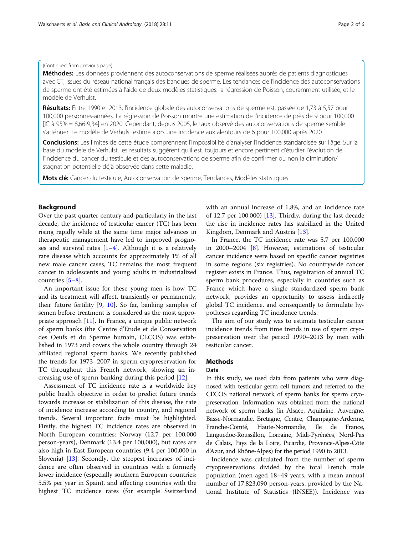## (Continued from previous page)

Méthodes: Les données proviennent des autoconservations de sperme réalisées auprès de patients diagnostiqués avec CT, issues du réseau national français des banques de sperme. Les tendances de l'incidence des autoconservations de sperme ont été estimées à l'aide de deux modèles statistiques: la régression de Poisson, couramment utilisée, et le modèle de Verhulst.

Résultats: Entre 1990 et 2013, l'incidence globale des autoconservations de sperme est. passée de 1,73 à 5,57 pour 100,000 personnes-années. La régression de Poisson montre une estimation de l'incidence de près de 9 pour 100,000 [IC à 95% = 8,66-9,34] en 2020. Cependant, depuis 2005, le taux observé des autoconservations de sperme semble s'atténuer. Le modèle de Verhulst estime alors une incidence aux alentours de 6 pour 100,000 après 2020.

Conclusions: Les limites de cette étude comprennent l'impossibilité d'analyser l'incidence standardisée sur l'âge. Sur la base du modèle de Verhulst, les résultats suggèrent qu'il est. toujours et encore pertinent d'étudier l'évolution de l'incidence du cancer du testicule et des autoconservations de sperme afin de confirmer ou non la diminution/ stagnation potentielle déjà observée dans cette maladie.

Mots clé: Cancer du testicule, Autoconservation de sperme, Tendances, Modèles statistiques

# Background

Over the past quarter century and particularly in the last decade, the incidence of testicular cancer (TC) has been rising rapidly while at the same time major advances in therapeutic management have led to improved prognoses and survival rates  $[1-4]$  $[1-4]$  $[1-4]$  $[1-4]$  $[1-4]$ . Although it is a relatively rare disease which accounts for approximately 1% of all new male cancer cases, TC remains the most frequent cancer in adolescents and young adults in industrialized countries [[5](#page-4-0)–[8](#page-4-0)].

An important issue for these young men is how TC and its treatment will affect, transiently or permanently, their future fertility [\[9](#page-4-0), [10\]](#page-4-0). So far, banking samples of semen before treatment is considered as the most appropriate approach [\[11](#page-4-0)]. In France, a unique public network of sperm banks (the Centre d'Etude et de Conservation des Oeufs et du Sperme humain, CECOS) was established in 1973 and covers the whole country through 24 affiliated regional sperm banks. We recently published the trends for 1973–2007 in sperm cryopreservation for TC throughout this French network, showing an increasing use of sperm banking during this period [[12\]](#page-4-0).

Assessment of TC incidence rate is a worldwide key public health objective in order to predict future trends towards increase or stabilization of this disease, the rate of incidence increase according to country, and regional trends. Several important facts must be highlighted. Firstly, the highest TC incidence rates are observed in North European countries: Norway (12.7 per 100,000 person-years), Denmark (13.4 per 100,000), but rates are also high in East European countries (9.4 per 100,000 in Slovenia) [\[13](#page-4-0)]. Secondly, the steepest increases of incidence are often observed in countries with a formerly lower incidence (especially southern European countries: 5.5% per year in Spain), and affecting countries with the highest TC incidence rates (for example Switzerland with an annual increase of 1.8%, and an incidence rate of 12.7 per 100,000) [\[13](#page-4-0)]. Thirdly, during the last decade the rise in incidence rates has stabilized in the United Kingdom, Denmark and Austria [[13](#page-4-0)].

In France, the TC incidence rate was 5.7 per 100,000 in 2000–2004 [\[8](#page-4-0)]. However, estimations of testicular cancer incidence were based on specific cancer registries in some regions (six registries). No countrywide cancer register exists in France. Thus, registration of annual TC sperm bank procedures, especially in countries such as France which have a single standardized sperm bank network, provides an opportunity to assess indirectly global TC incidence, and consequently to formulate hypotheses regarding TC incidence trends.

The aim of our study was to estimate testicular cancer incidence trends from time trends in use of sperm cryopreservation over the period 1990–2013 by men with testicular cancer.

# **Methods**

#### Data

In this study, we used data from patients who were diagnosed with testicular germ cell tumors and referred to the CECOS national network of sperm banks for sperm cryopreservation. Information was obtained from the national network of sperm banks (in Alsace, Aquitaine, Auvergne, Basse-Normandie, Bretagne, Centre, Champagne-Ardenne, Franche-Comté, Haute-Normandie, Ile de France, Languedoc-Roussillon, Lorraine, Midi-Pyrénées, Nord-Pas de Calais, Pays de la Loire, Picardie, Provence-Alpes-Côte d'Azur, and Rhône-Alpes) for the period 1990 to 2013.

Incidence was calculated from the number of sperm cryopreservations divided by the total French male population (men aged 18–49 years, with a mean annual number of 17,823,090 person-years, provided by the National Institute of Statistics (INSEE)). Incidence was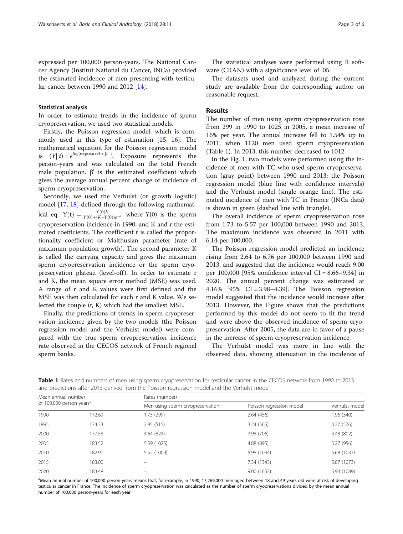expressed per 100,000 person-years. The National Cancer Agency (Institut National du Cancer, INCa) provided the estimated incidence of men presenting with testicular cancer between 1990 and 2012 [[14\]](#page-4-0).

#### Statistical analysis

In order to estimate trends in the incidence of sperm cryopreservation, we used two statistical models.

Firstly, the Poisson regression model, which is commonly used in this type of estimation [[15](#page-4-0), [16](#page-4-0)]. The mathematical equation for the Poisson regression model is  $(Y|t) = e^{\log(\exp(\exp(\theta))) + \beta' t}$ . Exposure represents the person-years and was calculated on the total French male population.  $β'$  is the estimated coefficient which gives the average annual percent change of incidence of sperm cryopreservation.

Secondly, we used the Verhulst (or growth logistic) model [\[17](#page-5-0), [18](#page-5-0)] defined through the following mathematical eq.  $Y(t) = \frac{Y(0)K}{Y(0)+(K-Y(0))e^{-rt}}$  where  $Y(0)$  is the sperm cryopreservation incidence in 1990, and K and r the estimated coefficients. The coefficient r is called the proportionality coefficient or Malthusian parameter (rate of maximum population growth). The second parameter K is called the carrying capacity and gives the maximum sperm cryopreservation incidence or the sperm cryopreservation plateau (level-off). In order to estimate r and K, the mean square error method (MSE) was used. A range of r and K values were first defined and the MSE was then calculated for each r and K value. We selected the couple (r, K) which had the smallest MSE.

Finally, the predictions of trends in sperm cryopreservation incidence given by the two models (the Poisson regression model and the Verhulst model) were compared with the true sperm cryopreservation incidence rate observed in the CECOS network of French regional sperm banks.

The statistical analyses were performed using R software (CRAN) with a significance level of .05.

The datasets used and analyzed during the current study are available from the corresponding author on reasonable request.

# Results

The number of men using sperm cryopreservation rose from 299 in 1990 to 1025 in 2005, a mean increase of 16% per year. The annual increase fell to 1.54% up to 2011, when 1120 men used sperm cryopreservation (Table 1). In 2013, this number decreased to 1012.

In the Fig. [1,](#page-3-0) two models were performed using the incidence of men with TC who used sperm cryopreservation (gray point) between 1990 and 2013: the Poisson regression model (blue line with confidence intervals) and the Verhulst model (single orange line). The estimated incidence of men with TC in France (INCa data) is shown in green (dashed line with triangle).

The overall incidence of sperm cryopreservation rose from 1.73 to 5.57 per 100,000 between 1990 and 2013. The maximum incidence was observed in 2011 with 6.14 per 100,000.

The Poisson regression model predicted an incidence rising from 2.64 to 6.76 per 100,000 between 1990 and 2013, and suggested that the incidence would reach 9.00 per 100,000 [95% confidence interval CI = 8.66–9.34] in 2020. The annual percent change was estimated at 4.16% [95% CI = 3.98–4.39]. The Poisson regression model suggested that the incidence would increase after 2013. However, the Figure shows that the predictions performed by this model do not seem to fit the trend and were above the observed incidence of sperm cryopreservation. After 2005, the data are in favor of a pause in the increase of sperm cryopreservation incidence.

The Verhulst model was more in line with the observed data, showing attenuation in the incidence of

Table 1 Rates and numbers of men using sperm cryopreservation for testicular cancer in the CECOS network from 1990 to 2013 and predictions after 2013 derived from the Poisson regression model and the Verhulst model

| Mean annual number<br>of 100,000 person-years <sup>a</sup> |        | Rates (number)                   |                          |                |
|------------------------------------------------------------|--------|----------------------------------|--------------------------|----------------|
|                                                            |        | Men using sperm cryopreservation | Poisson regression model | Verhulst model |
| 1990                                                       | 172.69 | .73 (299)                        | 2.64(456)                | 1.96 (340)     |
| 1995                                                       | 174.33 | 2.95(515)                        | 3.24(565)                | 3.27(576)      |
| 2000                                                       | 177.58 | 4.64(824)                        | 3.98 (706)               | 4.48 (802)     |
| 2005                                                       | 183.52 | 5.59 (1025)                      | 4.88 (895)               | 5.27 (956)     |
| 2010                                                       | 182.91 | 5.52 (1009)                      | 5.98 (1094)              | 5.68 (1037)    |
| 2015                                                       | 183.00 |                                  | 7.34 (1343)              | 5.87 (1073)    |
| 2020                                                       | 183.48 |                                  | 9.00(1652)               | 5.94 (1089)    |

a<br>Mean annual number of 100,000 person-years means that, for example, in 1990, 17,269,000 men aged between 18 and 49 years old were at risk of developing testicular cancer in France. The incidence of sperm cryopreservation was calculated as the number of sperm cryopreservations divided by the mean annual number of 100,000 person-years for each year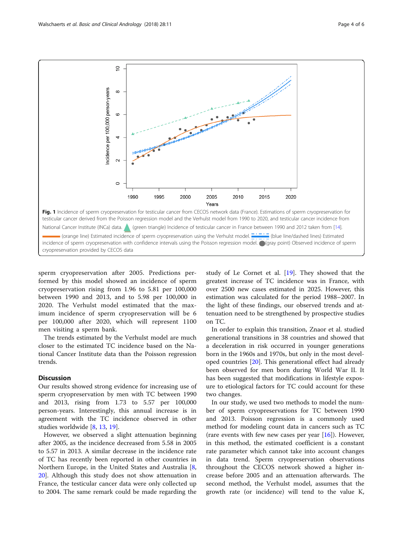<span id="page-3-0"></span>

sperm cryopreservation after 2005. Predictions performed by this model showed an incidence of sperm cryopreservation rising from 1.96 to 5.81 per 100,000 between 1990 and 2013, and to 5.98 per 100,000 in 2020. The Verhulst model estimated that the maximum incidence of sperm cryopreservation will be 6 per 100,000 after 2020, which will represent 1100 men visiting a sperm bank.

The trends estimated by the Verhulst model are much closer to the estimated TC incidence based on the National Cancer Institute data than the Poisson regression trends.

# **Discussion**

Our results showed strong evidence for increasing use of sperm cryopreservation by men with TC between 1990 and 2013, rising from 1.73 to 5.57 per 100,000 person-years. Interestingly, this annual increase is in agreement with the TC incidence observed in other studies worldwide [\[8](#page-4-0), [13](#page-4-0), [19](#page-5-0)].

However, we observed a slight attenuation beginning after 2005, as the incidence decreased from 5.58 in 2005 to 5.57 in 2013. A similar decrease in the incidence rate of TC has recently been reported in other countries in Northern Europe, in the United States and Australia [\[8](#page-4-0), [20\]](#page-5-0). Although this study does not show attenuation in France, the testicular cancer data were only collected up to 2004. The same remark could be made regarding the

study of Le Cornet et al. [\[19\]](#page-5-0). They showed that the greatest increase of TC incidence was in France, with over 2500 new cases estimated in 2025. However, this estimation was calculated for the period 1988–2007. In the light of these findings, our observed trends and attenuation need to be strengthened by prospective studies on TC.

In order to explain this transition, Znaor et al. studied generational transitions in 38 countries and showed that a deceleration in risk occurred in younger generations born in the 1960s and 1970s, but only in the most developed countries [\[20](#page-5-0)]. This generational effect had already been observed for men born during World War II. It has been suggested that modifications in lifestyle exposure to etiological factors for TC could account for these two changes.

In our study, we used two methods to model the number of sperm cryopreservations for TC between 1990 and 2013. Poisson regression is a commonly used method for modeling count data in cancers such as TC (rare events with few new cases per year [[16\]](#page-4-0)). However, in this method, the estimated coefficient is a constant rate parameter which cannot take into account changes in data trend. Sperm cryopreservation observations throughout the CECOS network showed a higher increase before 2005 and an attenuation afterwards. The second method, the Verhulst model, assumes that the growth rate (or incidence) will tend to the value K,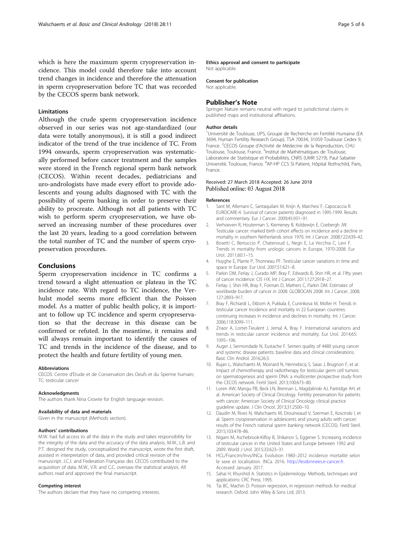<span id="page-4-0"></span>which is here the maximum sperm cryopreservation incidence. This model could therefore take into account trend changes in incidence and therefore the attenuation in sperm cryopreservation before TC that was recorded by the CECOS sperm bank network.

# Limitations

Although the crude sperm cryopreservation incidence observed in our series was not age-standardized (our data were totally anonymous), it is still a good indirect indicator of the trend of the true incidence of TC. From 1994 onwards, sperm cryopreservation was systematically performed before cancer treatment and the samples were stored in the French regional sperm bank network (CECOS). Within recent decades, pediatricians and uro-andrologists have made every effort to provide adolescents and young adults diagnosed with TC with the possibility of sperm banking in order to preserve their ability to procreate. Although not all patients with TC wish to perform sperm cryopreservation, we have observed an increasing number of these procedures over the last 20 years, leading to a good correlation between the total number of TC and the number of sperm cryopreservation procedures.

## Conclusions

Sperm cryopreservation incidence in TC confirms a trend toward a slight attenuation or plateau in the TC incidence rate. With regard to TC incidence, the Verhulst model seems more efficient than the Poisson model. As a matter of public health policy, it is important to follow up TC incidence and sperm cryopreservation so that the decrease in this disease can be confirmed or refuted. In the meantime, it remains and will always remain important to identify the causes of TC and trends in the incidence of the disease, and to protect the health and future fertility of young men.

#### Abbreviations

CECOS: Centre d'Etude et de Conservation des Oeufs et du Sperme humain; TC: testicular cancer

#### Acknowledgments

The authors thank Nina Crowte for English language revision.

#### Availability of data and materials

Given in the manuscript (Methods section).

#### Authors' contributions

M.W. had full access to all the data in the study and takes responsibility for the integrity of the data and the accuracy of the data analysis. M.W., L.B. and P.T. designed the study, conceptualized the manuscript, wrote the first draft, assisted in interpretation of data, and provided critical revision of the manuscript. J.C.J. and Federation Française des CECOS contributed to the acquisition of data. M.W., V.R. and C.C. oversaw the statistical analysis. All authors read and approved the final manuscript.

#### Competing interest

The authors declare that they have no competing interests.

Ethics approval and consent to participate Not applicable.

# Consent for publication

Not applicable.

#### Publisher's Note

Springer Nature remains neutral with regard to jurisdictional claims in published maps and institutional affiliations.

#### Author details

<sup>1</sup>Université de Toulouse, UPS, Groupe de Recherche en Fertilité Humaine (EA 3694, Human Fertility Research Group), TSA 70034, 31059 Toulouse Cedex 9, France. <sup>2</sup>CECOS Groupe d'Activité de Médecine de la Reproduction, CHU Toulouse, Toulouse, France. <sup>3</sup>Institut de Mathématiques de Toulouse Laboratoire de Statistique et Probabilités, CNRS (UMR 5219), Paul Sabatier Université, Toulouse, France. <sup>4</sup>AP-HP CCS SI Patient, Hôpital Rothschild, Paris, France.

#### Received: 27 March 2018 Accepted: 26 June 2018 Published online: 03 August 2018

#### References

- 1. Sant M, Allemani C, Santaquilani M, Knijn A, Marchesi F, Capocaccia R. EUROCARE-4. Survival of cancer patients diagnosed in 1995-1999. Results and commentary. Eur J Cancer. 2009;45:931–91.
- 2. Verhoeven R, Houterman S, Kiemeney B, Koldewijn E, Coebergh JW. Testicular cancer: marked birth cohort effects on incidence and a decline in mortality in southern Netherlands since 1970. Int J Cancer. 2008;122:639–42.
- 3. Bosetti C, Bertuccio P, Chatenoud L, Negri E, La Vecchia C, Levi F. Trends in mortality from urologic cancers in Europe, 1970-2008. Eur Urol. 2011;60:1–15.
- 4. Huyghe E, Plante P, Thonneau PF. Testicular cancer variations in time and space in Europe. Eur Urol. 2007;51:621–8.
- 5. Parkin DM, Ferlay J, Curado MP, Bray F, Edwards B, Shin HR, et al. Fifty years of cancer incidence: CI5 I-IX. Int J Cancer. 2011;127:2918–27.
- 6. Ferlay J, Shin HR, Bray F, Forman D, Mathers C, Parkin DM. Estimates of worldwide burden of cancer in 2008: GLOBOCAN 2008. Int J Cancer. 2008; 127:2893–917.
- 7. Bray F, Richiardi L, Ekbom A, Pukkala E, Cuninkova M, Moller H. Trends in testicular cancer incidence and mortality in 22 European countries: continuing increases in incidence and declines in mortality. Int J Cancer. 2006;118:3099–111.
- 8. Znaor A, Lortet-Tieulent J, Jemal A, Bray F. International variations and trends in testicular cancer incidence and mortality. Eur Urol. 2014;65: 1095–106.
- 9. Auger J, Sermondade N, Eustache F. Semen quality of 4480 young cancer and systemic disease patients: baseline data and clinical considerations. Basic Clin Androl. 2016;26:3.
- 10. Bujan L, Walschaerts M, Moinard N, Hennebicq S, Saias J, Brugnon F, et al. Impact of chemotherapy and radiotherapy for testicular germ cell tumors on spermatogenesis and sperm DNA: a multicenter prospective study from the CECOS network. Fertil Steril. 2013;100:673–80.
- 11. Loren AW, Mangu PB, Beck LN, Brennan L, Magdalinski AJ, Partridge AH, et al. American Society of Clinical Oncology. Fertility preservation for patients with cancer: American Society of Clinical Oncology clinical practice guideline update. J Clin Oncol. 2013;31:2500–10.
- 12. Daudin M, Rives N, Walschaerts M, Drouineaud V, Szerman E, Koscinski I, et al. Sperm cryopreservation in adolescents and young adults with cancer: results of the French national sperm banking network (CECOS). Fertil Steril. 2015;103:478–86.
- 13. Nigam M, Aschebrook-Kilfoy B, Shikanov S, Eggener S. Increasing incidence of testicular cancer in the United States and Europe between 1992 and 2009. World J Urol. 2015;33:623–31.
- 14. HCL/Francim/Invs/INCa. Evolution 1980–2012 incidence mortalité selon le sexe et localisation. INCa. 2016. [http://lesdonnees.e-cancer.fr.](http://lesdonnees.e-cancer.fr) Accessed January 2017.
- 15. Sahai H, Khurshid A. Statistics in Epidemiology: Methods, techniques and applications: CRC Press; 1995.
- 16. Tai BC, Machin D. Poisson regression, in regression methods for medical research. Oxford: John Wiley & Sons Ltd; 2013.